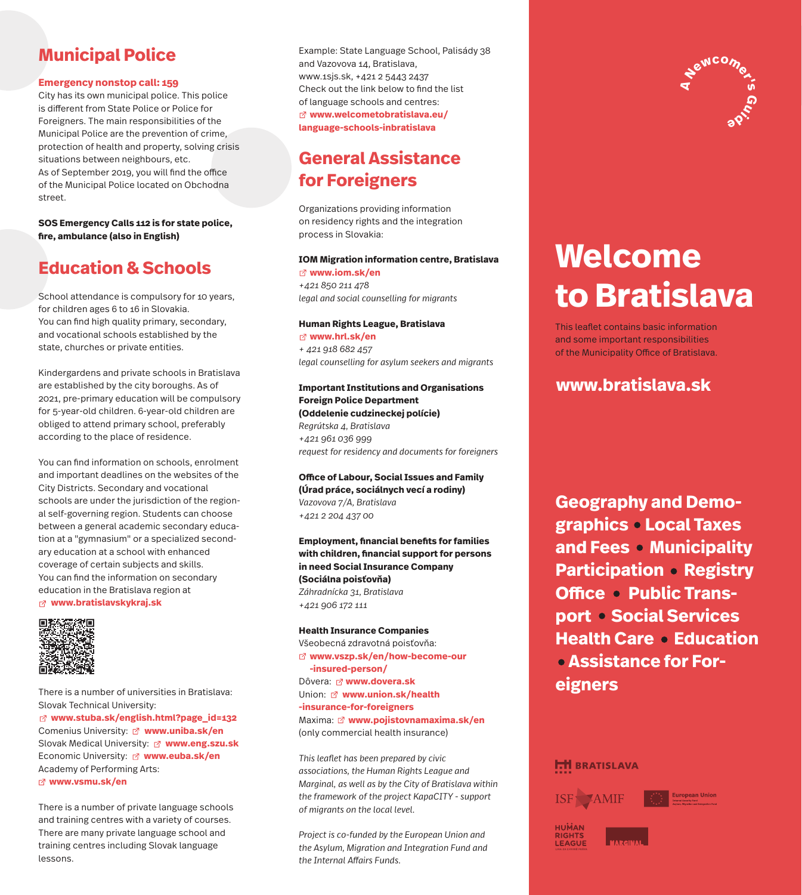## **Municipal Police**

#### **Emergency nonstop call: 159**

City has its own municipal police. This police is different from State Police or Police for Foreigners. The main responsibilities of the Municipal Police are the prevention of crime, protection of health and property, solving crisis situations between neighbours, etc. As of September 2019, you will find the office of the Municipal Police located on Obchodna street.

#### **SOS Emergency Calls 112 is for state police,**  fire, ambulance (also in English)

### **Education & Schools**

School attendance is compulsory for 10 years, for children ages 6 to 16 in Slovakia. You can find high quality primary, secondary, and vocational schools established by the state, churches or private entities.

Kindergardens and private schools in Bratislava are established by the city boroughs. As of 2021, pre-primary education will be compulsory for 5-year-old children. 6-year-old children are obliged to attend primary school, preferably according to the place of residence.

You can find information on schools, enrolment and important deadlines on the websites of the City Districts. Secondary and vocational schools are under the jurisdiction of the regional self-governing region. Students can choose between a general academic secondary education at a "gymnasium" or a specialized secondary education at a school with enhanced coverage of certain subjects and skills. You can find the information on secondary education in the Bratislava region at  **www.bratislavskykraj.sk**



There is a number of universities in Bratislava: Slovak Technical University:  **www.stuba.sk/english.html?page\_id=132** Comenius University: **www.uniba.sk/en** Slovak Medical University: **www.eng.szu.sk** Economic University: **www.euba.sk/en** Academy of Performing Arts:  **www.vsmu.sk/en**

There is a number of private language schools and training centres with a variety of courses. There are many private language school and training centres including Slovak language lessons.

Example: State Language School, Palisády 38 and Vazovova 14, Bratislava, www.1sjs.sk, +421 2 5443 2437 Check out the link below to find the list of language schools and centres:  **www.welcometobratislava.eu/ language-schools-inbratislava**

## **General Assistance for Foreigners**

Organizations providing information on residency rights and the integration process in Slovakia:

### **IOM Migration information centre, Bratislava**

 **www.iom.sk/en** *+421 850 211 478 legal and social counselling for migrants*

**Human Rights League, Bratislava www.hrl.sk/en** *+ 421 918 682 457 legal counselling for asylum seekers and migrants*

#### **Important Institutions and Organisations Foreign Police Department (Oddelenie cudzineckej polície)** *Regrútska 4, Bratislava +421 961 036 999 request for residency and documents for foreigners*

**Office of Labour, Social Issues and Family (Úrad práce, sociálnych vecí a rodiny)** *Vazovova 7/A, Bratislava +421 2 204 437 00*

**Employment, financial benefits for families** with children, financial support for persons **in need Social Insurance Company (Sociálna poisťovňa)** *Záhradnícka 31, Bratislava +421 906 172 111*

#### **Health Insurance Companies**

Všeobecná zdravotná poisťovňa:  **www.vszp.sk/en/how-become-our -insured-person/** Dôvera: **www.dovera.sk** Union: **www.union.sk/health -insurance-for-foreigners** Maxima: **www.pojistovnamaxima.sk/en** (only commercial health insurance)

*This leaflet has been prepared by civic associations, the Human Rights League and Marginal, as well as by the City of Bratislava within the framework of the project KapaCITY - support of migrants on the local level.*

*Project is co-funded by the European Union and the Asylum, Migration and Integration Fund and*  the Internal Affairs Funds.



# **Welcome to Bratislava**

This leaflet contains basic information and some important responsibilities of the Municipality Office of Bratislava.

**www.bratislava.sk**

**Geography and Demographics Local Taxes and Fees • Municipality Participation • Registry Office • Public Transport · Social Services Health Care • Education Assistance for Foreigners** 

**HH BRATISLAVA** 

RIGHTS<br>LEAGUE